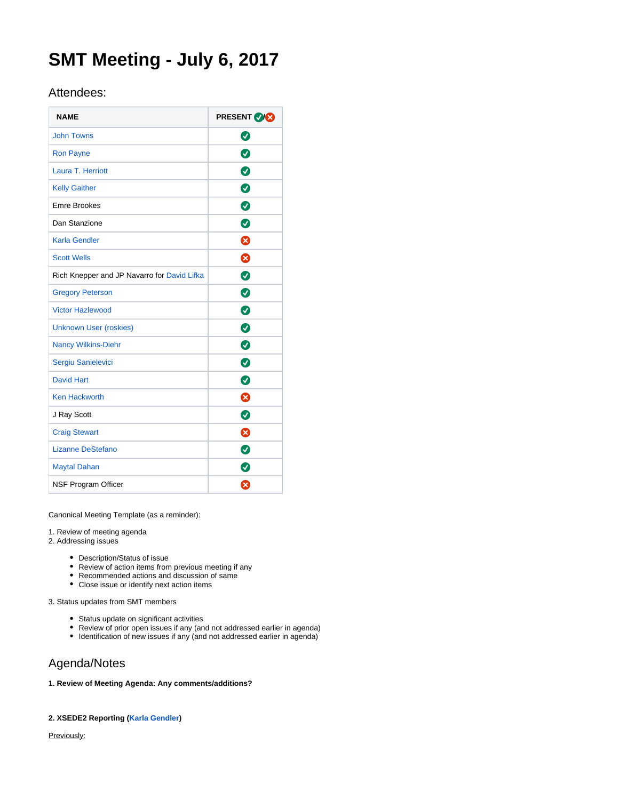# **SMT Meeting - July 6, 2017**

## Attendees:

| <b>NAME</b>                                 | <b>PRESENT VICE</b> |
|---------------------------------------------|---------------------|
| <b>John Towns</b>                           | Ø                   |
| <b>Ron Payne</b>                            | ◙                   |
| Laura T. Herriott                           | ◙                   |
| <b>Kelly Gaither</b>                        | Ø                   |
| <b>Emre Brookes</b>                         | ◙                   |
| Dan Stanzione                               | Ø                   |
| Karla Gendler                               | ⊗                   |
| <b>Scott Wells</b>                          | ظ                   |
| Rich Knepper and JP Navarro for David Lifka | Ø                   |
| <b>Gregory Peterson</b>                     | ◙                   |
| <b>Victor Hazlewood</b>                     | Ø                   |
| <b>Unknown User (roskies)</b>               | ◙                   |
| <b>Nancy Wilkins-Diehr</b>                  | ◙                   |
| Sergiu Sanielevici                          | Ø                   |
| <b>David Hart</b>                           | $\bullet$           |
| <b>Ken Hackworth</b>                        | ⊗                   |
| J Ray Scott                                 | ◙                   |
| <b>Craig Stewart</b>                        | ⊗                   |
| Lizanne DeStefano                           | ◙                   |
| <b>Maytal Dahan</b>                         | Ø                   |
| NSF Program Officer                         | Ø                   |

Canonical Meeting Template (as a reminder):

1. Review of meeting agenda

2. Addressing issues

- Description/Status of issue
- Review of action items from previous meeting if any
- Recommended actions and discussion of same
- Close issue or identify next action items

3. Status updates from SMT members

- Status update on significant activities
- Review of prior open issues if any (and not addressed earlier in agenda)
- Identification of new issues if any (and not addressed earlier in agenda)

# Agenda/Notes

**1. Review of Meeting Agenda: Any comments/additions?**

### **2. XSEDE2 Reporting [\(Karla Gendler](https://confluence.xsede.org/display/~gendlerk))**

Previously: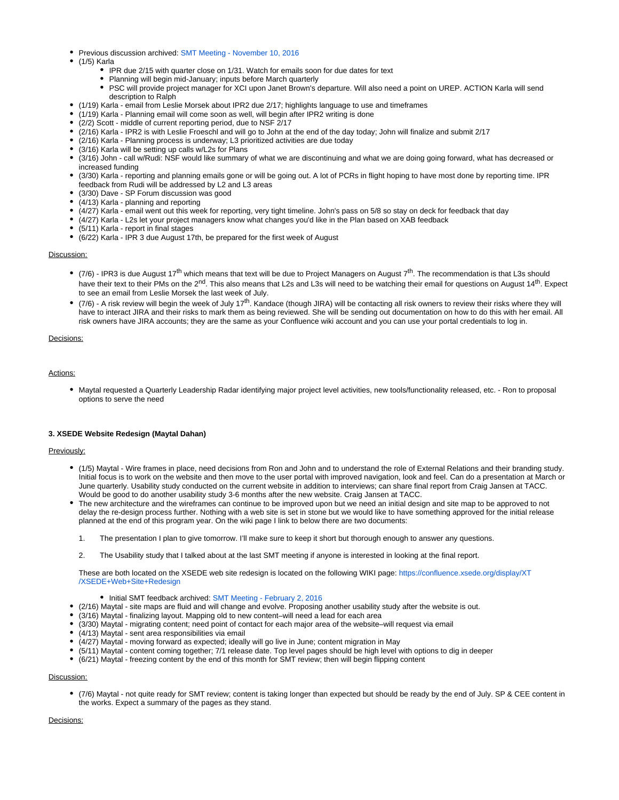- Previous discussion archived: [SMT Meeting November 10, 2016](https://confluence.xsede.org/display/XT/SMT+Meeting+-+November+10%2C+2016)
- (1/5) Karla
	- IPR due 2/15 with quarter close on 1/31. Watch for emails soon for due dates for text
	- Planning will begin mid-January; inputs before March quarterly
	- $\bullet$ PSC will provide project manager for XCI upon Janet Brown's departure. Will also need a point on UREP. ACTION Karla will send description to Ralph
- (1/19) Karla email from Leslie Morsek about IPR2 due 2/17; highlights language to use and timeframes
- (1/19) Karla Planning email will come soon as well, will begin after IPR2 writing is done
- (2/2) Scott middle of current reporting period, due to NSF 2/17
- (2/16) Karla IPR2 is with Leslie Froeschl and will go to John at the end of the day today; John will finalize and submit 2/17
- (2/16) Karla Planning process is underway; L3 prioritized activities are due today
- (3/16) Karla will be setting up calls w/L2s for Plans
- (3/16) John call w/Rudi: NSF would like summary of what we are discontinuing and what we are doing going forward, what has decreased or increased funding
- (3/30) Karla reporting and planning emails gone or will be going out. A lot of PCRs in flight hoping to have most done by reporting time. IPR feedback from Rudi will be addressed by L2 and L3 areas
- (3/30) Dave SP Forum discussion was good
- (4/13) Karla planning and reporting
- (4/27) Karla email went out this week for reporting, very tight timeline. John's pass on 5/8 so stay on deck for feedback that day
- (4/27) Karla L2s let your project managers know what changes you'd like in the Plan based on XAB feedback
- (5/11) Karla report in final stages
- (6/22) Karla IPR 3 due August 17th, be prepared for the first week of August

#### Discussion:

- (7/6) IPR3 is due August 17<sup>th</sup> which means that text will be due to Project Managers on August 7<sup>th</sup>. The recommendation is that L3s should have their text to their PMs on the 2<sup>nd</sup>. This also means that L2s and L3s will need to be watching their email for questions on August 14<sup>th</sup>. Expect to see an email from Leslie Morsek the last week of July.
- $\bullet$  (7/6) A risk review will begin the week of July 17<sup>th</sup>. Kandace (though JIRA) will be contacting all risk owners to review their risks where they will have to interact JIRA and their risks to mark them as being reviewed. She will be sending out documentation on how to do this with her email. All risk owners have JIRA accounts; they are the same as your Confluence wiki account and you can use your portal credentials to log in.

#### Decisions:

#### Actions:

Maytal requested a Quarterly Leadership Radar identifying major project level activities, new tools/functionality released, etc. - Ron to proposal options to serve the need

#### **3. XSEDE Website Redesign (Maytal Dahan)**

#### Previously:

- (1/5) Maytal Wire frames in place, need decisions from Ron and John and to understand the role of External Relations and their branding study. Initial focus is to work on the website and then move to the user portal with improved navigation, look and feel. Can do a presentation at March or June quarterly. Usability study conducted on the current website in addition to interviews; can share final report from Craig Jansen at TACC. Would be good to do another usability study 3-6 months after the new website. Craig Jansen at TACC.
- The new architecture and the wireframes can continue to be improved upon but we need an initial design and site map to be approved to not delay the re-design process further. Nothing with a web site is set in stone but we would like to have something approved for the initial release planned at the end of this program year. On the wiki page I link to below there are two documents:
	- 1. The presentation I plan to give tomorrow. I'll make sure to keep it short but thorough enough to answer any questions.
	- 2. The Usability study that I talked about at the last SMT meeting if anyone is interested in looking at the final report.

These are both located on the XSEDE web site redesign is located on the following WIKI page: [https://confluence.xsede.org/display/XT](https://urldefense.proofpoint.com/v2/url?u=https-3A__confluence.xsede.org_display_XT_XSEDE-2BWeb-2BSite-2BRedesign&d=DwMGaQ&c=8hUWFZcy2Z-Za5rBPlktOQ&r=fhdJL1etCq5qcATTWi5BHtue9WvYCwNbLwFECs_TPNU&m=NVAamGpYjiFsH4b8fW7J2MjCMob78ojc3Phw3FlBhGo&s=qQjSFWaNWZL_eGqwBgCQvt0REpqro5yiw-Sm7U6vH-U&e=) [/XSEDE+Web+Site+Redesign](https://urldefense.proofpoint.com/v2/url?u=https-3A__confluence.xsede.org_display_XT_XSEDE-2BWeb-2BSite-2BRedesign&d=DwMGaQ&c=8hUWFZcy2Z-Za5rBPlktOQ&r=fhdJL1etCq5qcATTWi5BHtue9WvYCwNbLwFECs_TPNU&m=NVAamGpYjiFsH4b8fW7J2MjCMob78ojc3Phw3FlBhGo&s=qQjSFWaNWZL_eGqwBgCQvt0REpqro5yiw-Sm7U6vH-U&e=)

- Initial SMT feedback archived: [SMT Meeting February 2, 2016](https://confluence.xsede.org/display/XT/SMT+Meeting+-+February+2%2C+2017)
- (2/16) Maytal site maps are fluid and will change and evolve. Proposing another usability study after the website is out.
- (3/16) Maytal finalizing layout. Mapping old to new content–will need a lead for each area
- (3/30) Maytal migrating content; need point of contact for each major area of the website–will request via email
- (4/13) Maytal sent area responsibilities via email
- (4/27) Maytal moving forward as expected; ideally will go live in June; content migration in May
- (5/11) Maytal content coming together; 7/1 release date. Top level pages should be high level with options to dig in deeper
- (6/21) Maytal freezing content by the end of this month for SMT review; then will begin flipping content

#### Discussion:

(7/6) Maytal - not quite ready for SMT review; content is taking longer than expected but should be ready by the end of July. SP & CEE content in the works. Expect a summary of the pages as they stand.

#### Decisions: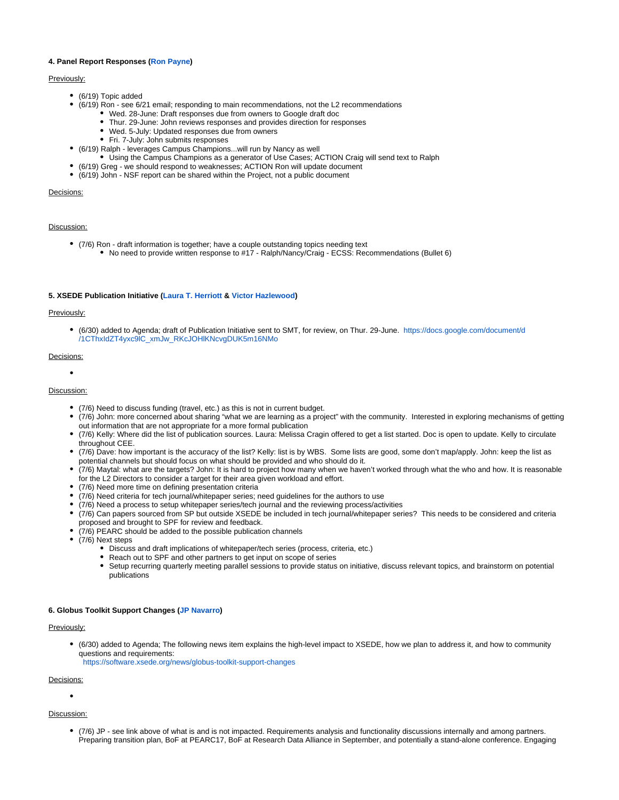#### **4. Panel Report Responses [\(Ron Payne](https://confluence.xsede.org/display/~rpayne))**

#### Previously:

- (6/19) Topic added
	- (6/19) Ron see 6/21 email; responding to main recommendations, not the L2 recommendations
		- Wed. 28-June: Draft responses due from owners to Google draft doc
		- Thur. 29-June: John reviews responses and provides direction for responses
		- Wed. 5-July: Updated responses due from owners
		- Fri. 7-July: John submits responses
- (6/19) Ralph leverages Campus Champions...will run by Nancy as well
	- Using the Campus Champions as a generator of Use Cases; ACTION Craig will send text to Ralph
- (6/19) Greg we should respond to weaknesses; ACTION Ron will update document
- (6/19) John NSF report can be shared within the Project, not a public document

#### Decisions:

#### Discussion:

- (7/6) Ron draft information is together; have a couple outstanding topics needing text
	- No need to provide written response to #17 Ralph/Nancy/Craig ECSS: Recommendations (Bullet 6)

#### **5. XSEDE Publication Initiative [\(Laura T. Herriott](https://confluence.xsede.org/display/~herrio) & [Victor Hazlewood\)](https://confluence.xsede.org/display/~victorh)**

#### Previously:

(6/30) added to Agenda; draft of Publication Initiative sent to SMT, for review, on Thur. 29-June. [https://docs.google.com/document/d](https://urldefense.proofpoint.com/v2/url?u=https-3A__docs.google.com_document_d_1CThxIdZT4yxc9lC-5FxmJw-5FRKcJOHlKNcvgDUK5m16NMo_edit-23heading-3Dh.o869moxqtndu&d=DwMFAg&c=8hUWFZcy2Z-Za5rBPlktOQ&r=KzmlI2tUO3F-NrLDOwzejmMMibDke-PwQ99N6EQliIg&m=GwuJsTaAg9l1eUGauOXaxbHU0ncm9PfjPYoPXO1JBoA&s=bqvewhP1EGaIZeVB9nPPo-d-0N2HXxKkPE_4z5PiVaQ&e=) [/1CThxIdZT4yxc9lC\\_xmJw\\_RKcJOHlKNcvgDUK5m16NMo](https://urldefense.proofpoint.com/v2/url?u=https-3A__docs.google.com_document_d_1CThxIdZT4yxc9lC-5FxmJw-5FRKcJOHlKNcvgDUK5m16NMo_edit-23heading-3Dh.o869moxqtndu&d=DwMFAg&c=8hUWFZcy2Z-Za5rBPlktOQ&r=KzmlI2tUO3F-NrLDOwzejmMMibDke-PwQ99N6EQliIg&m=GwuJsTaAg9l1eUGauOXaxbHU0ncm9PfjPYoPXO1JBoA&s=bqvewhP1EGaIZeVB9nPPo-d-0N2HXxKkPE_4z5PiVaQ&e=)

#### Decisions:

 $\bullet$ 

#### Discussion:

- (7/6) Need to discuss funding (travel, etc.) as this is not in current budget.
- (7/6) John: more concerned about sharing "what we are learning as a project" with the community. Interested in exploring mechanisms of getting out information that are not appropriate for a more formal publication
- (7/6) Kelly: Where did the list of publication sources. Laura: Melissa Cragin offered to get a list started. Doc is open to update. Kelly to circulate throughout CEE.
- (7/6) Dave: how important is the accuracy of the list? Kelly: list is by WBS. Some lists are good, some don't map/apply. John: keep the list as potential channels but should focus on what should be provided and who should do it.
- $\bullet$ (7/6) Maytal: what are the targets? John: It is hard to project how many when we haven't worked through what the who and how. It is reasonable for the L2 Directors to consider a target for their area given workload and effort.
- (7/6) Need more time on defining presentation criteria
- (7/6) Need criteria for tech journal/whitepaper series; need guidelines for the authors to use
- (7/6) Need a process to setup whitepaper series/tech journal and the reviewing process/activities
- (7/6) Can papers sourced from SP but outside XSEDE be included in tech journal/whitepaper series? This needs to be considered and criteria proposed and brought to SPF for review and feedback.
- (7/6) PEARC should be added to the possible publication channels
- (7/6) Next steps
	- Discuss and draft implications of whitepaper/tech series (process, criteria, etc.)
	- Reach out to SPF and other partners to get input on scope of series
	- Setup recurring quarterly meeting parallel sessions to provide status on initiative, discuss relevant topics, and brainstorm on potential publications

#### **6. Globus Toolkit Support Changes [\(JP Navarro\)](https://confluence.xsede.org/display/~navarro)**

#### Previously:

(6/30) added to Agenda; The following news item explains the high-level impact to XSEDE, how we plan to address it, and how to community questions and requirements:

<https://software.xsede.org/news/globus-toolkit-support-changes>

#### Decisions:

#### Discussion:

(7/6) JP - see link above of what is and is not impacted. Requirements analysis and functionality discussions internally and among partners. Preparing transition plan, BoF at PEARC17, BoF at Research Data Alliance in September, and potentially a stand-alone conference. Engaging